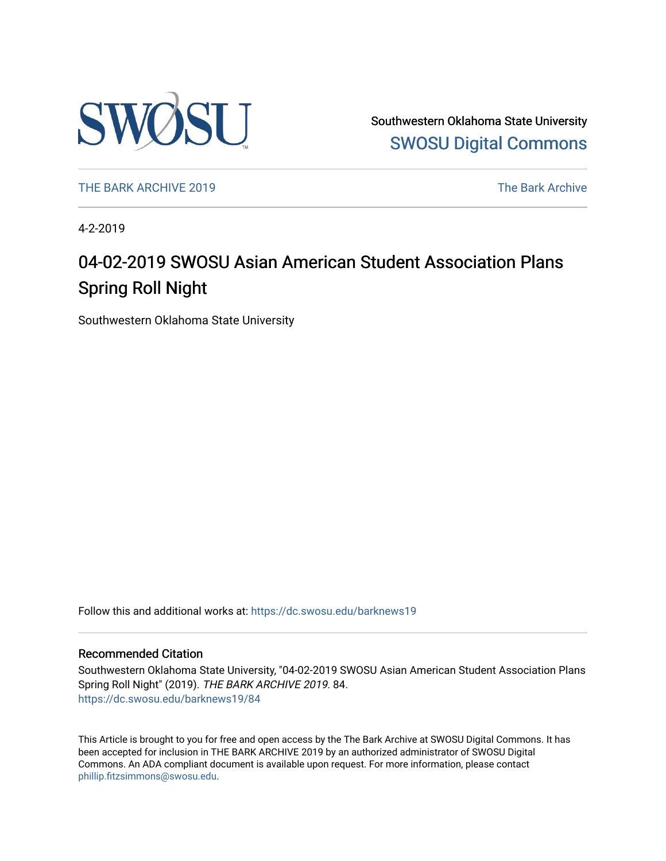

Southwestern Oklahoma State University [SWOSU Digital Commons](https://dc.swosu.edu/) 

[THE BARK ARCHIVE 2019](https://dc.swosu.edu/barknews19) The Bark Archive

4-2-2019

### 04-02-2019 SWOSU Asian American Student Association Plans Spring Roll Night

Southwestern Oklahoma State University

Follow this and additional works at: [https://dc.swosu.edu/barknews19](https://dc.swosu.edu/barknews19?utm_source=dc.swosu.edu%2Fbarknews19%2F84&utm_medium=PDF&utm_campaign=PDFCoverPages)

#### Recommended Citation

Southwestern Oklahoma State University, "04-02-2019 SWOSU Asian American Student Association Plans Spring Roll Night" (2019). THE BARK ARCHIVE 2019. 84. [https://dc.swosu.edu/barknews19/84](https://dc.swosu.edu/barknews19/84?utm_source=dc.swosu.edu%2Fbarknews19%2F84&utm_medium=PDF&utm_campaign=PDFCoverPages) 

This Article is brought to you for free and open access by the The Bark Archive at SWOSU Digital Commons. It has been accepted for inclusion in THE BARK ARCHIVE 2019 by an authorized administrator of SWOSU Digital Commons. An ADA compliant document is available upon request. For more information, please contact [phillip.fitzsimmons@swosu.edu](mailto:phillip.fitzsimmons@swosu.edu).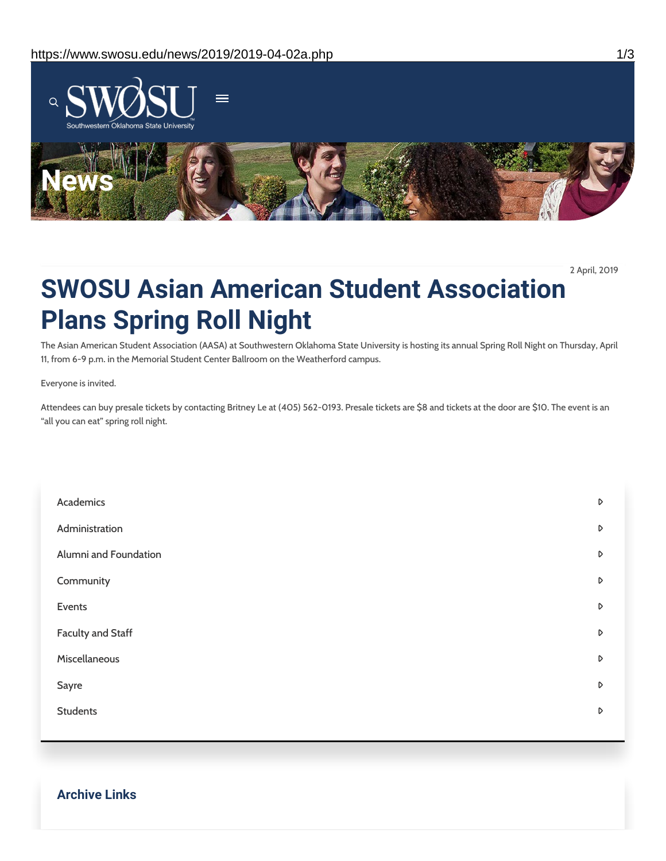

2 April, 2019

## **SWOSU Asian American Student Association Plans Spring Roll Night**

The Asian American Student Association (AASA) at Southwestern Oklahoma State University is hosting its annual Spring Roll Night on Thursday, April 11, from 6-9 p.m. in the Memorial Student Center Ballroom on the Weatherford campus.

Everyone is invited.

Attendees can buy presale tickets by contacting Britney Le at (405) 562-0193. Presale tickets are \$8 and tickets at the door are \$10. The event is an "all you can eat" spring roll night.

| Academics             | $\triangleright$ |
|-----------------------|------------------|
| Administration        | $\triangleright$ |
| Alumni and Foundation | $\triangleright$ |
| Community             | $\triangleright$ |
| Events                | D                |
| Faculty and Staff     | $\triangleright$ |
| Miscellaneous         | $\triangleright$ |
| Sayre                 | $\triangleright$ |
| <b>Students</b>       | $\triangleright$ |
|                       |                  |

**Archive Links**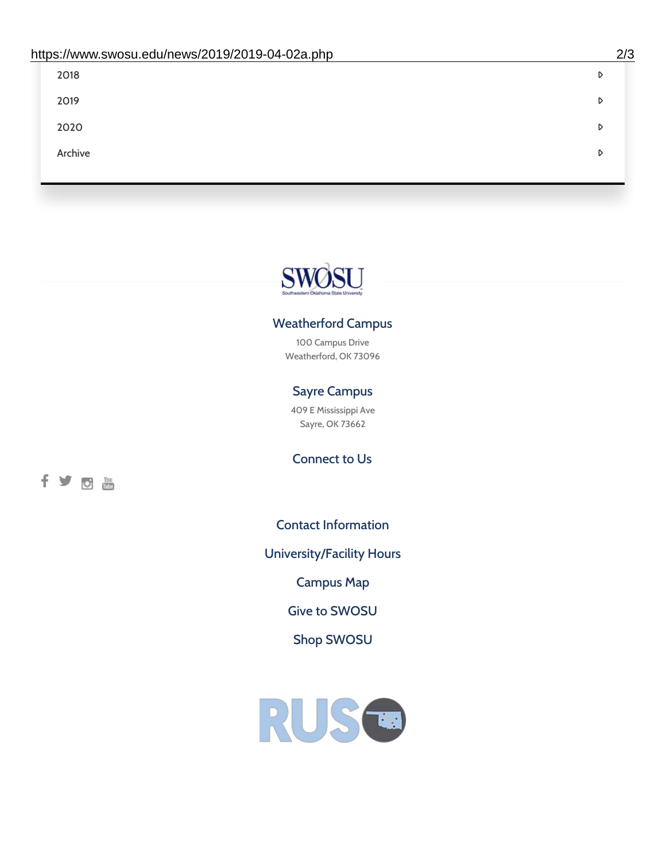| 2018    | D |
|---------|---|
| 2019    | D |
| 2020    | D |
| Archive | D |
|         |   |

# SWØSU

### Weatherford Campus

100 Campus Drive Weatherford, OK 73096

### Sayre Campus

409 E Mississippi Ave Sayre, OK 73662

fyom

Connect to Us

Contact [Information](https://www.swosu.edu/about/contact.php)

[University/Facility](https://www.swosu.edu/about/operating-hours.php) Hours

[Campus](https://map.concept3d.com/?id=768#!ct/10964,10214,10213,10212,10205,10204,10203,10202,10136,10129,10128,0,31226,10130,10201,10641,0) Map

Give to [SWOSU](https://standingfirmly.com/donate)

Shop [SWOSU](https://shopswosu.merchorders.com/)